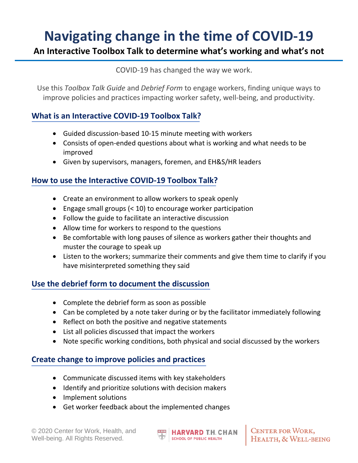# **Navigating change in the time of COVID-19**

#### **An Interactive Toolbox Talk to determine what's working and what's not**

COVID-19 has changed the way we work.

Use this *Toolbox Talk Guide* and *Debrief Form* to engage workers, finding unique ways to improve policies and practices impacting worker safety, well-being, and productivity.

#### **What is an Interactive COVID-19 Toolbox Talk?**

- Guided discussion-based 10-15 minute meeting with workers
- Consists of open-ended questions about what is working and what needs to be improved
- Given by supervisors, managers, foremen, and EH&S/HR leaders

#### **How to use the Interactive COVID-19 Toolbox Talk?**

- Create an environment to allow workers to speak openly
- Engage small groups (< 10) to encourage worker participation
- Follow the guide to facilitate an interactive discussion
- Allow time for workers to respond to the questions
- Be comfortable with long pauses of silence as workers gather their thoughts and muster the courage to speak up
- Listen to the workers; summarize their comments and give them time to clarify if you have misinterpreted something they said

#### **Use the debrief form to document the discussion**

- Complete the debrief form as soon as possible
- Can be completed by a note taker during or by the facilitator immediately following
- Reflect on both the positive and negative statements
- List all policies discussed that impact the workers
- Note specific working conditions, both physical and social discussed by the workers

#### **Create change to improve policies and practices**

- Communicate discussed items with key stakeholders
- Identify and prioritize solutions with decision makers
- Implement solutions
- Get worker feedback about the implemented changes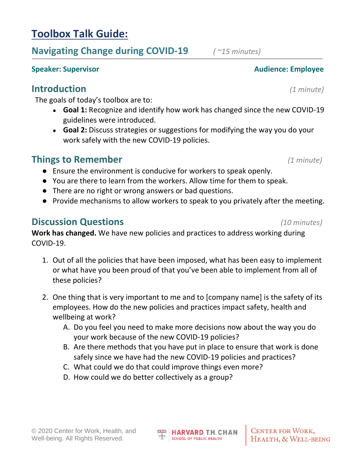### **Toolbox Talk Guide:**

### **Navigating Change during COVID-19** *( ~15 minutes)*

**Speaker: Supervisor Audience: Employee Audience: Employee** 

### **Introduction** *(1 minute)*

The goals of today's toolbox are to:

- **Goal 1:** Recognize and identify how work has changed since the new COVID-19 guidelines were introduced.
- **Goal 2:** Discuss strategies or suggestions for modifying the way you do your work safely with the new COVID-19 policies.

### **Things to Remember** *(1 minute)*

- Ensure the environment is conducive for workers to speak openly.
- You are there to learn from the workers. Allow time for them to speak.
- There are no right or wrong answers or bad questions.
- Provide mechanisms to allow workers to speak to you privately after the meeting.

#### **Discussion Questions** *(10 minutes)*

**Work has changed.** We have new policies and practices to address working during COVID-19.

- 1. Out of all the policies that have been imposed, what has been easy to implement or what have you been proud of that you've been able to implement from all of these policies?
- 2. One thing that is very important to me and to [company name] is the safety of its employees. How do the new policies and practices impact safety, health and wellbeing at work?
	- A. Do you feel you need to make more decisions now about the way you do your work because of the new COVID-19 policies?
	- B. Are there methods that you have put in place to ensure that work is done safely since we have had the new COVID-19 policies and practices?
	- C. What could we do that could improve things even more?
	- D. How could we do better collectively as a group?

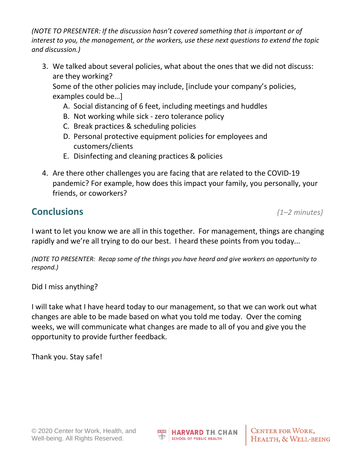*(NOTE TO PRESENTER: If the discussion hasn't covered something that is important or of interest to you, the management, or the workers, use these next questions to extend the topic and discussion.)*

3. We talked about several policies, what about the ones that we did not discuss: are they working?

Some of the other policies may include, [include your company's policies, examples could be…]

- A. Social distancing of 6 feet, including meetings and huddles
- B. Not working while sick zero tolerance policy
- C. Break practices & scheduling policies
- D. Personal protective equipment policies for employees and customers/clients
- E. Disinfecting and cleaning practices & policies
- 4. Are there other challenges you are facing that are related to the COVID-19 pandemic? For example, how does this impact your family, you personally, your friends, or coworkers?

### **Conclusions** *(1–2 minutes)*

I want to let you know we are all in this together. For management, things are changing rapidly and we're all trying to do our best. I heard these points from you today...

*(NOTE TO PRESENTER: Recap some of the things you have heard and give workers an opportunity to respond.)*

Did I miss anything?

I will take what I have heard today to our management, so that we can work out what changes are able to be made based on what you told me today. Over the coming weeks, we will communicate what changes are made to all of you and give you the opportunity to provide further feedback.

Thank you. Stay safe!